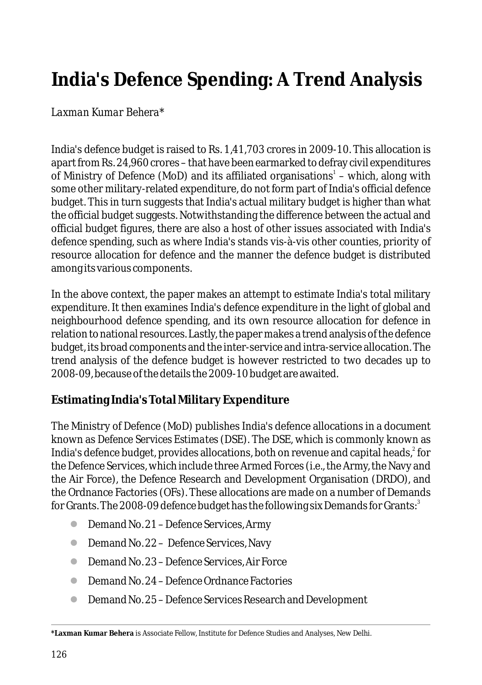# **India's Defence Spending: A Trend Analysis**

# *Laxman Kumar Behera\**

India's defence budget is raised to Rs. 1,41,703 crores in 2009-10. This allocation is apart from Rs. 24,960 crores – that have been earmarked to defray civil expenditures of Ministry of Defence (MoD) and its affiliated organisations<sup>1</sup> – which, along with some other military-related expenditure, do not form part of India's official defence budget. This in turn suggests that India's actual military budget is higher than what the official budget suggests. Notwithstanding the difference between the actual and official budget figures, there are also a host of other issues associated with India's defence spending, such as where India's stands vis-à-vis other counties, priority of resource allocation for defence and the manner the defence budget is distributed among its various components.

In the above context, the paper makes an attempt to estimate India's total military expenditure. It then examines India's defence expenditure in the light of global and neighbourhood defence spending, and its own resource allocation for defence in relation to national resources. Lastly, the paper makes a trend analysis of the defence budget, its broad components and the inter-service and intra-service allocation. The trend analysis of the defence budget is however restricted to two decades up to 2008-09, because of the details the 2009-10 budget are awaited.

# **Estimating India's Total Military Expenditure**

The Ministry of Defence (MoD) publishes India's defence allocations in a document known as *Defence Services Estimates* (DSE). The DSE, which is commonly known as India's defence budget, provides allocations, both on revenue and capital heads,<sup>2</sup> for the Defence Services, which include three Armed Forces (i.e., the Army, the Navy and the Air Force), the Defence Research and Development Organisation (DRDO), and the Ordnance Factories (OFs). These allocations are made on a number of Demands for Grants. The 2008-09 defence budget has the following six Demands for Grants:<sup>3</sup>

- Demand No. 21 Defence Services, Army
- Demand No. 22 Defence Services, Navy
- Demand No. 23 Defence Services, Air Force
- **Demand No. 24 Defence Ordnance Factories**
- Demand No. 25 Defence Services Research and Development l

**<sup>\*</sup>Laxman Kumar Behera** is Associate Fellow, Institute for Defence Studies and Analyses, New Delhi.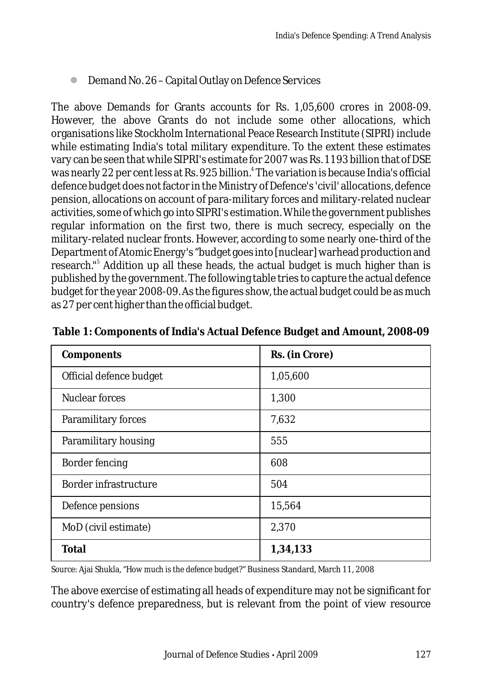● Demand No. 26 – Capital Outlay on Defence Services

The above Demands for Grants accounts for Rs. 1,05,600 crores in 2008-09. However, the above Grants do not include some other allocations, which organisations like Stockholm International Peace Research Institute (SIPRI) include while estimating India's total military expenditure. To the extent these estimates vary can be seen that while SIPRI's estimate for 2007 was Rs. 1193 billion that of DSE was nearly 22 per cent less at Rs. 925 billion.<sup>4</sup> The variation is because India's official defence budget does not factor in the Ministry of Defence's 'civil' allocations, defence pension, allocations on account of para-military forces and military-related nuclear activities, some of which go into SIPRI's estimation. While the government publishes regular information on the first two, there is much secrecy, especially on the military-related nuclear fronts. However, according to some nearly one-third of the Department of Atomic Energy's "budget goes into[nuclear] warhead production and research."<sup>5</sup> Addition up all these heads, the actual budget is much higher than is published by the government. The following table tries to capture the actual defence budget for the year 2008-09. As the figures show, the actual budget could be as much as 27 per cent higher than the official budget.

| Components              | Rs. (in Crore) |
|-------------------------|----------------|
| Official defence budget | 1,05,600       |
| <b>Nuclear forces</b>   | 1,300          |
| Paramilitary forces     | 7,632          |
| Paramilitary housing    | 555            |
| Border fencing          | 608            |
| Border infrastructure   | 504            |
| Defence pensions        | 15,564         |
| MoD (civil estimate)    | 2,370          |
| Total                   | 1,34,133       |

**Table 1: Components of India's Actual Defence Budget and Amount, 2008-09**

*Source*: Ajai Shukla, "*How much is the defence budget?*" Business Standard, March 11, 2008

The above exercise of estimating all heads of expenditure may not be significant for country's defence preparedness, but is relevant from the point of view resource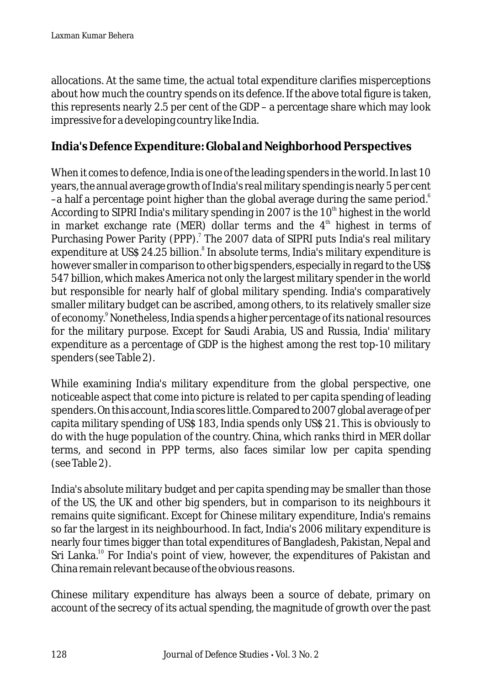allocations. At the same time, the actual total expenditure clarifies misperceptions about how much the country spends on its defence. If the above total figure is taken, this represents nearly 2.5 per cent of the GDP – a percentage share which may look impressive for a developing country like India.

# **India's Defence Expenditure: Global and Neighborhood Perspectives**

When it comes to defence, India is one of the leading spenders in the world. In last 10 years, the annual average growth of India's real military spending is nearly 5 per cent –a half a percentage point higher than the global average during the same period. $^{\rm e}$ According to SIPRI India's military spending in 2007 is the  $10<sup>th</sup>$  highest in the world in market exchange rate (MER) dollar terms and the  $4<sup>th</sup>$  highest in terms of Purchasing Power Parity (PPP).<sup>7</sup> The 2007 data of SIPRI puts India's real military expenditure at US\$ 24.25 billion.<sup>8</sup> In absolute terms, India's military expenditure is however smaller in comparison to other big spenders, especially in regard to the US\$ 547 billion, which makes America not only the largest military spender in the world but responsible for nearly half of global military spending. India's comparatively smaller military budget can be ascribed, among others, to its relatively smaller size of economy.<sup>9</sup> Nonetheless, India spends a higher percentage of its national resources for the military purpose. Except for Saudi Arabia, US and Russia, India' military expenditure as a percentage of GDP is the highest among the rest top-10 military spenders (see Table 2).

While examining India's military expenditure from the global perspective, one noticeable aspect that come into picture is related to per capita spending of leading spenders. On this account, India scores little. Compared to 2007 global average of per capita military spending of US\$ 183, India spends only US\$ 21. This is obviously to do with the huge population of the country. China, which ranks third in MER dollar terms, and second in PPP terms, also faces similar low per capita spending (see Table 2).

India's absolute military budget and per capita spending may be smaller than those of the US, the UK and other big spenders, but in comparison to its neighbours it remains quite significant. Except for Chinese military expenditure, India's remains so far the largest in its neighbourhood. In fact, India's 2006 military expenditure is nearly four times bigger than total expenditures of Bangladesh, Pakistan, Nepal and Sri Lanka.<sup>10</sup> For India's point of view, however, the expenditures of Pakistan and China remain relevant because of the obvious reasons.

Chinese military expenditure has always been a source of debate, primary on account of the secrecy of its actual spending, the magnitude of growth over the past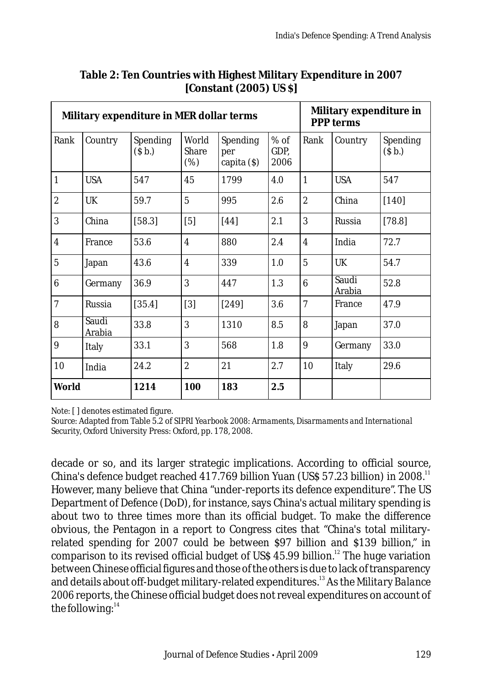| Military expenditure in MER dollar terms |                 |                                      |                       |                                       |                        |                  | Military expenditure in<br>PPP terms |                               |  |
|------------------------------------------|-----------------|--------------------------------------|-----------------------|---------------------------------------|------------------------|------------------|--------------------------------------|-------------------------------|--|
| Rank                                     | Country         | <b>Spending</b><br>(S <sub>b</sub> ) | World<br>Share<br>(%) | <b>Spending</b><br>per<br>capita (\$) | $%$ of<br>GDP,<br>2006 | Rank             | Country                              | Spending<br>(S <sub>b</sub> ) |  |
| $\vert$ 1                                | <b>USA</b>      | 547                                  | 45                    | 1799                                  | 4.0                    | 1                | <b>USA</b>                           | 547                           |  |
| $\overline{c}$                           | UK              | 59.7                                 | $\overline{5}$        | 995                                   | 2.6                    | $\boldsymbol{2}$ | China                                | $[140]$                       |  |
| 3                                        | China           | [58.3]                               | [5]                   | [44]                                  | 2.1                    | 3                | Russia                               | [78.8]                        |  |
| $\overline{4}$                           | France          | 53.6                                 | $\overline{4}$        | 880                                   | 2.4                    | $\overline{4}$   | India                                | 72.7                          |  |
| $\overline{5}$                           | Japan           | 43.6                                 | $\overline{4}$        | 339                                   | 1.0                    | $\overline{5}$   | <b>UK</b>                            | 54.7                          |  |
| 6                                        | Germany         | 36.9                                 | 3                     | 447                                   | 1.3                    | 6                | Saudi<br>Arabia                      | 52.8                          |  |
| $\overline{7}$                           | Russia          | [35.4]                               | [3]                   | $[249]$                               | 3.6                    | $\overline{7}$   | France                               | 47.9                          |  |
| 8                                        | Saudi<br>Arabia | 33.8                                 | 3                     | 1310                                  | 8.5                    | 8                | Japan                                | 37.0                          |  |
| 9                                        | Italy           | 33.1                                 | 3                     | 568                                   | 1.8                    | 9                | Germany                              | 33.0                          |  |
| 10                                       | India           | 24.2                                 | $\overline{2}$        | 21                                    | 2.7                    | 10               | Italy                                | 29.6                          |  |
| World                                    |                 | 1214                                 | 100                   | 183                                   | 2.5                    |                  |                                      |                               |  |

#### **Table 2: Ten Countries with Highest Military Expenditure in 2007 [Constant (2005) US \$]**

*Note*: [ ] denotes estimated figure.

*Source*: Adapted from Table 5.2 of *SIPRI Yearbook 2008*: *Armaments, Disarmaments and International Security,* Oxford University Press: Oxford, pp. 178, 2008.

decade or so, and its larger strategic implications. According to official source, China's defence budget reached  $417.769$  billion Yuan (US\$ 57.23 billion) in 2008.<sup>11</sup> However, many believe that China "under-reports its defence expenditure". The US Department of Defence (DoD), for instance, says China's actual military spending is about two to three times more than its official budget. To make the difference obvious, the Pentagon in a report to Congress cites that "China's total militaryrelated spending for 2007 could be between \$97 billion and \$139 billion," in comparison to its revised official budget of US\$ 45.99 billion.<sup>12</sup> The huge variation between Chinese official figures and those of the others is due to lack of transparency and details about off-budget military-related expenditures.<sup>13</sup> As the *Military Balance 2006* reports, the Chinese official budget does not reveal expenditures on account of the following: $14$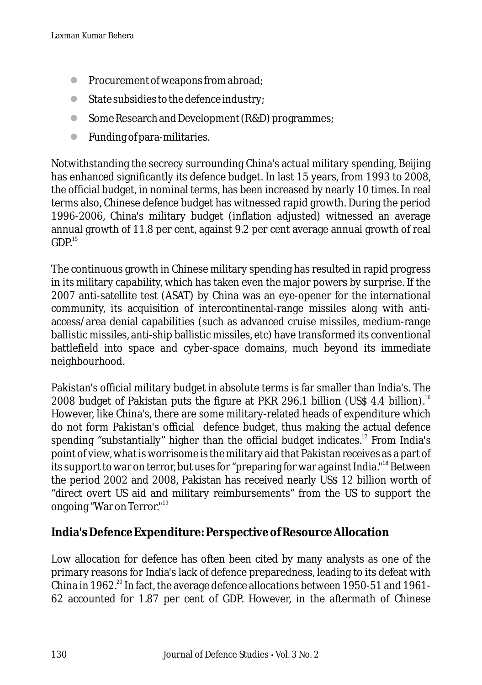- l Procurement of weapons from abroad;
- l State subsidies to the defence industry;
- **Some Research and Development (R&D) programmes;**
- l Funding of para-militaries.

Notwithstanding the secrecy surrounding China's actual military spending, Beijing has enhanced significantly its defence budget. In last 15 years, from 1993 to 2008, the official budget, in nominal terms, has been increased by nearly 10 times. In real terms also, Chinese defence budget has witnessed rapid growth. During the period 1996-2006, China's military budget (inflation adjusted) witnessed an average annual growth of 11.8 per cent, against 9.2 per cent average annual growth of real  $GDP<sup>15</sup>$ 

The continuous growth in Chinese military spending has resulted in rapid progress in its military capability, which has taken even the major powers by surprise. If the 2007 anti-satellite test (ASAT) by China was an eye-opener for the international community, its acquisition of intercontinental-range missiles along with antiaccess/area denial capabilities (such as advanced cruise missiles, medium-range ballistic missiles, anti-ship ballistic missiles, etc) have transformed its conventional battlefield into space and cyber-space domains, much beyond its immediate neighbourhood.

Pakistan's official military budget in absolute terms is far smaller than India's. The 2008 budget of Pakistan puts the figure at PKR 296.1 billion (US\$ 4.4 billion).<sup>16</sup> However, like China's, there are some military-related heads of expenditure which do not form Pakistan's official defence budget, thus making the actual defence spending "substantially" higher than the official budget indicates.<sup>17</sup> From India's point of view, what is worrisome is the military aid that Pakistan receives as a part of its support to war on terror, but uses for "preparing for war against India." <sup>18</sup> Between the period 2002 and 2008, Pakistan has received nearly US\$ 12 billion worth of "direct overt US aid and military reimbursements" from the US to support the ongoing "War on Terror."<sup>19</sup>

### **India's Defence Expenditure: Perspective of Resource Allocation**

Low allocation for defence has often been cited by many analysts as one of the primary reasons for India's lack of defence preparedness, leading to its defeat with China in 1962.<sup>20</sup> In fact, the average defence allocations between 1950-51 and 1961-62 accounted for 1.87 per cent of GDP. However, in the aftermath of Chinese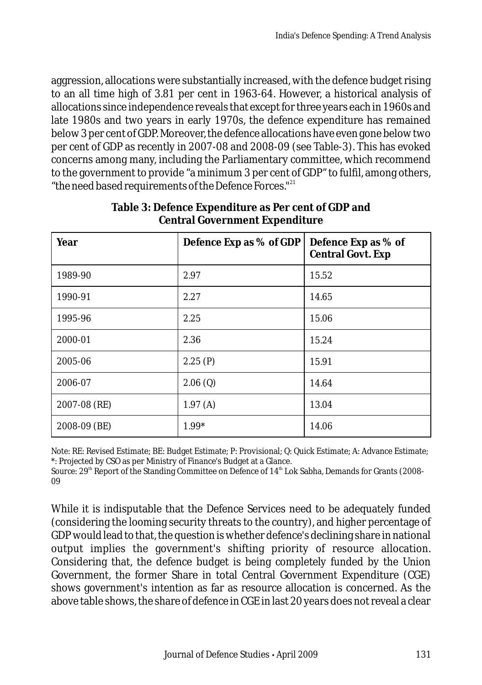aggression, allocations were substantially increased, with the defence budget rising to an all time high of 3.81 per cent in 1963-64. However, a historical analysis of allocations since independence reveals that except for three years each in 1960s and late 1980s and two years in early 1970s, the defence expenditure has remained below 3 per cent of GDP. Moreover, the defence allocations have even gone below two per cent of GDP as recently in 2007-08 and 2008-09 (see Table-3). This has evoked concerns among many, including the Parliamentary committee, which recommend to the government to provide "a minimum 3 per cent of GDP" to fulfil, among others, "the need based requirements of the Defence Forces."<sup>21</sup>

| Year         | Defence Exp as % of GDP | Defence Exp as % of<br>Central Govt. Exp |  |  |
|--------------|-------------------------|------------------------------------------|--|--|
| 1989-90      | 2.97                    | 15.52                                    |  |  |
| 1990-91      | 2.27                    | 14.65                                    |  |  |
| 1995-96      | 2.25                    | 15.06                                    |  |  |
| 2000-01      | 2.36                    | 15.24                                    |  |  |
| 2005-06      | 2.25 $(P)$              | 15.91                                    |  |  |
| 2006-07      | 2.06(Q)                 | 14.64                                    |  |  |
| 2007-08 (RE) | 1.97(A)                 | 13.04                                    |  |  |
| 2008-09 (BE) | $1.99*$                 | 14.06                                    |  |  |

**Table 3: Defence Expenditure as Per cent of GDP and Central Government Expenditure**

*Note*: RE: Revised Estimate; BE: Budget Estimate; P: Provisional; Q: Quick Estimate; A: Advance Estimate; \*: Projected by CSO as per Ministry of Finance's Budget at a Glance.

Source: 29<sup>th</sup> Report of the Standing Committee on Defence of 14<sup>th</sup> Lok Sabha, Demands for Grants (2008-09

While it is indisputable that the Defence Services need to be adequately funded (considering the looming security threats to the country), and higher percentage of GDP would lead to that, the question is whether defence's declining share in national output implies the government's shifting priority of resource allocation. Considering that, the defence budget is being completely funded by the Union Government, the former Share in total Central Government Expenditure (CGE) shows government's intention as far as resource allocation is concerned. As the above table shows, the share of defence in CGE in last 20 years does not reveal a clear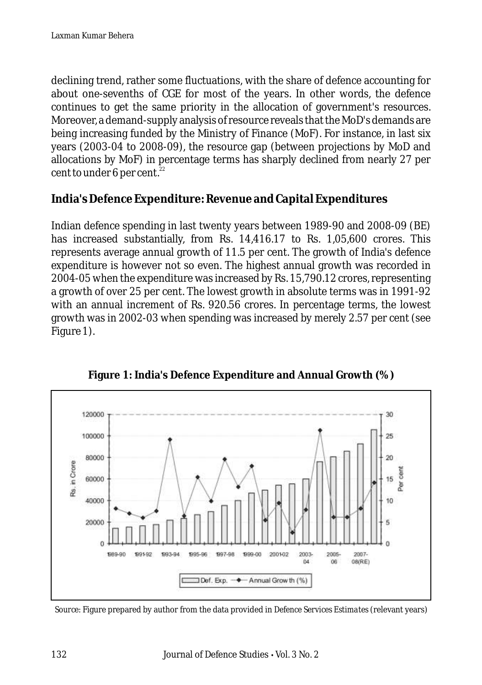declining trend, rather some fluctuations, with the share of defence accounting for about one-sevenths of CGE for most of the years. In other words, the defence continues to get the same priority in the allocation of government's resources. Moreover, a demand-supply analysis of resource reveals that the MoD's demands are being increasing funded by the Ministry of Finance (MoF). For instance, in last six years (2003-04 to 2008-09), the resource gap (between projections by MoD and allocations by MoF) in percentage terms has sharply declined from nearly 27 per cent to under 6 per cent. $22$ 

**India's Defence Expenditure: Revenue and Capital Expenditures**

Indian defence spending in last twenty years between 1989-90 and 2008-09 (BE) has increased substantially, from Rs. 14,416.17 to Rs. 1,05,600 crores. This represents average annual growth of 11.5 per cent. The growth of India's defence expenditure is however not so even. The highest annual growth was recorded in 2004-05 when the expenditure was increased by Rs. 15,790.12 crores, representing a growth of over 25 per cent. The lowest growth in absolute terms was in 1991-92 with an annual increment of Rs. 920.56 crores. In percentage terms, the lowest growth was in 2002-03 when spending was increased by merely 2.57 per cent (see Figure 1).



**Figure 1: India's Defence Expenditure and Annual Growth (%)**

*Source*: Figure prepared by author from the data provided in *Defence Services Estimates* (relevant years)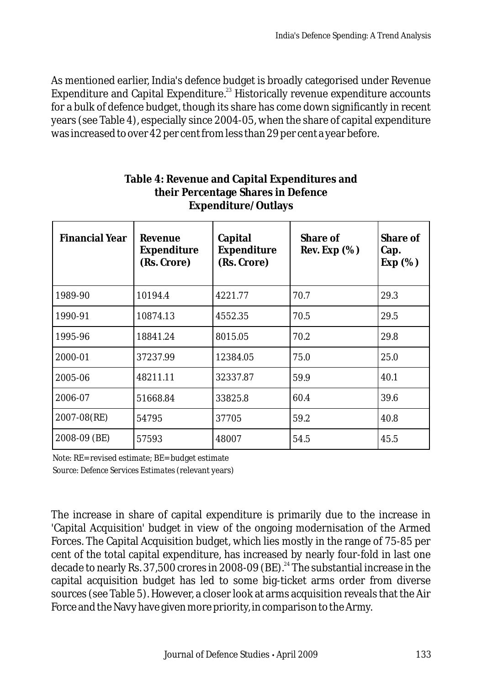As mentioned earlier, India's defence budget is broadly categorised under Revenue Expenditure and Capital Expenditure.<sup>23</sup> Historically revenue expenditure accounts for a bulk of defence budget, though its share has come down significantly in recent years (see Table 4), especially since 2004-05, when the share of capital expenditure was increased to over 42 per cent from less than 29 per cent a year before.

| Financial Year | Revenue<br>Expenditure<br>(Rs. Crore) | Capital<br>Expenditure<br>(Rs. Crore) | Share of<br>Rev. Exp $(\%)$ | Share of<br>Cap.<br>Exp $(\%)$ |
|----------------|---------------------------------------|---------------------------------------|-----------------------------|--------------------------------|
| 1989-90        | 10194.4                               | 4221.77                               | 70.7                        | 29.3                           |
| 1990-91        | 10874.13                              | 4552.35                               | 70.5                        | 29.5                           |
| 1995-96        | 18841.24                              | 8015.05                               | 70.2                        | 29.8                           |
| 2000-01        | 37237.99                              | 12384.05                              | 75.0                        | 25.0                           |
| 2005-06        | 48211.11                              | 32337.87                              | 59.9                        | 40.1                           |
| 2006-07        | 51668.84                              | 33825.8                               | 60.4                        | 39.6                           |
| 2007-08(RE)    | 54795                                 | 37705                                 | 59.2                        | 40.8                           |
| 2008-09 (BE)   | 57593                                 | 48007                                 | 54.5                        | 45.5                           |

#### **Table 4: Revenue and Capital Expenditures and their Percentage Shares in Defence Expenditure/Outlays**

*Note*: RE= revised estimate; BE= budget estimate *Source*: *Defence Services Estimates* (relevant years)

The increase in share of capital expenditure is primarily due to the increase in 'Capital Acquisition' budget in view of the ongoing modernisation of the Armed Forces. The Capital Acquisition budget, which lies mostly in the range of 75-85 per cent of the total capital expenditure, has increased by nearly four-fold in last one decade to nearly Rs.  $37,500$  crores in 2008-09 (BE).<sup>24</sup> The substantial increase in the capital acquisition budget has led to some big-ticket arms order from diverse sources (see Table 5). However, a closer look at arms acquisition reveals that the Air Force and the Navy have given more priority, in comparison to the Army.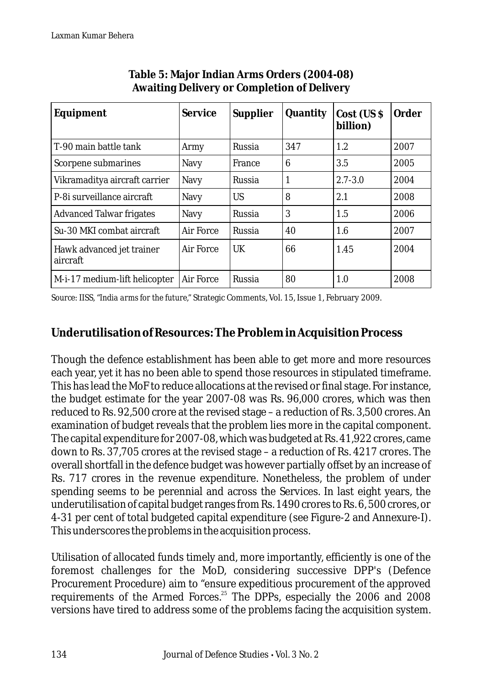| Equipment                             | Service   | Supplier      | Quantity | $Cost$ (US $\$<br>billion) | Order |
|---------------------------------------|-----------|---------------|----------|----------------------------|-------|
| T-90 main battle tank                 | Army      | Russia        | 347      | 1.2                        | 2007  |
| Scorpene submarines                   | Navy      | France        | 6        | 3.5                        | 2005  |
| Vikramaditya aircraft carrier         | Navy      | Russia        | 1        | $2.7 - 3.0$                | 2004  |
| P-8i surveillance aircraft            | Navy      | US            | 8        | 2.1                        | 2008  |
| <b>Advanced Talwar frigates</b>       | Navy      | Russia        | 3        | 1.5                        | 2006  |
| Su-30 MKI combat aircraft             | Air Force | Russia        | 40       | 1.6                        | 2007  |
| Hawk advanced jet trainer<br>aircraft | Air Force | $_{\rm{IJK}}$ | 66       | 1.45                       | 2004  |
| M-i-17 medium-lift helicopter         | Air Force | Russia        | 80       | 1.0                        | 2008  |

#### **Table 5: Major Indian Arms Orders (2004-08) Awaiting Delivery or Completion of Delivery**

*Source*: IISS, "*India arms for the future*," Strategic Comments, Vol. 15, Issue 1, February 2009.

# **Underutilisation of Resources: The Problem in Acquisition Process**

Though the defence establishment has been able to get more and more resources each year, yet it has no been able to spend those resources in stipulated timeframe. This has lead the MoF to reduce allocations at the revised or final stage. For instance, the budget estimate for the year 2007-08 was Rs. 96,000 crores, which was then reduced to Rs. 92,500 crore at the revised stage – a reduction of Rs. 3,500 crores. An examination of budget reveals that the problem lies more in the capital component. The capital expenditure for 2007-08, which was budgeted at Rs. 41,922 crores, came down to Rs. 37,705 crores at the revised stage – a reduction of Rs. 4217 crores. The overall shortfall in the defence budget was however partially offset by an increase of Rs. 717 crores in the revenue expenditure. Nonetheless, the problem of under spending seems to be perennial and across the Services. In last eight years, the underutilisation of capital budget ranges from Rs. 1490 crores to Rs. 6, 500 crores, or 4-31 per cent of total budgeted capital expenditure (see Figure-2 and Annexure-I). This underscores the problems in the acquisition process.

Utilisation of allocated funds timely and, more importantly, efficiently is one of the foremost challenges for the MoD, considering successive DPP's (Defence Procurement Procedure) aim to "ensure expeditious procurement of the approved requirements of the Armed Forces.<sup>25</sup> The DPPs, especially the 2006 and 2008 versions have tired to address some of the problems facing the acquisition system.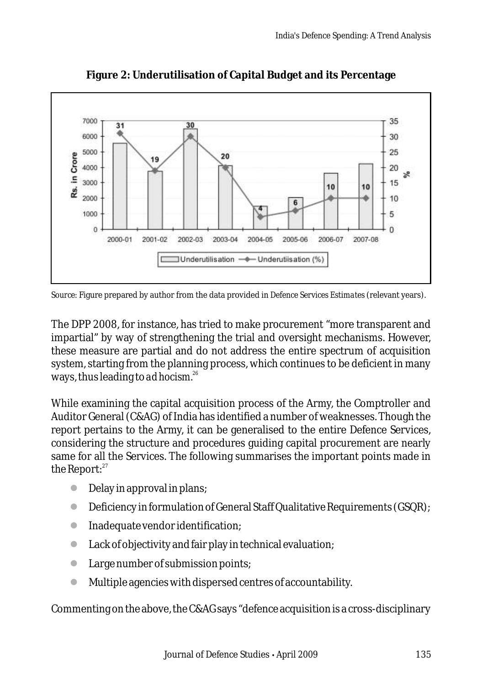

**Figure 2: Underutilisation of Capital Budget and its Percentage**

*Source:* Figure prepared by author from the data provided in *Defence Services Estimates* (relevant years).

The DPP 2008, for instance, has tried to make procurement "more transparent and impartial" by way of strengthening the trial and oversight mechanisms. However, these measure are partial and do not address the entire spectrum of acquisition system, starting from the planning process, which continues to be deficient in many *<sup>26</sup>* ways, thus leading to *ad hocism.*

While examining the capital acquisition process of the Army, the Comptroller and Auditor General (C&AG) of India has identified a number of weaknesses. Though the report pertains to the Army, it can be generalised to the entire Defence Services, considering the structure and procedures guiding capital procurement are nearly same for all the Services. The following summarises the important points made in the Report: $27$ 

- Delay in approval in plans;
- **•** Deficiency in formulation of General Staff Qualitative Requirements (GSQR);
- **•** Inadequate vendor identification;
- Lack of objectivity and fair play in technical evaluation; l
- Large number of submission points; l
- Multiple agencies with dispersed centres of accountability. l

Commenting on the above, the C&AG says "defence acquisition is a cross-disciplinary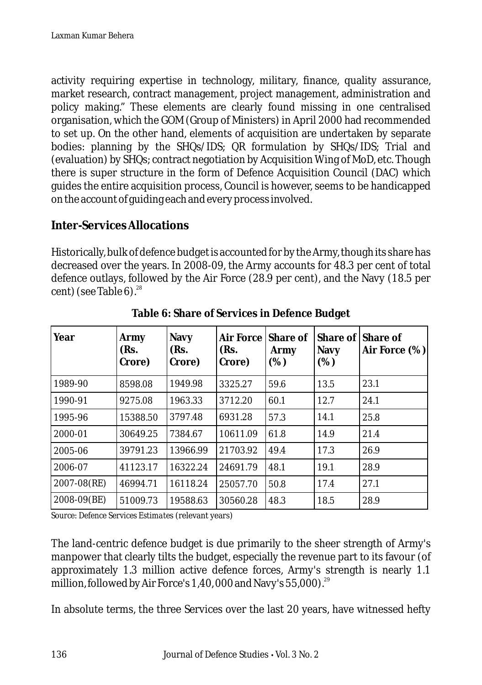activity requiring expertise in technology, military, finance, quality assurance, market research, contract management, project management, administration and policy making." These elements are clearly found missing in one centralised organisation, which the GOM (Group of Ministers) in April 2000 had recommended to set up. On the other hand, elements of acquisition are undertaken by separate bodies: planning by the SHQs/IDS; QR formulation by SHQs/IDS; Trial and (evaluation) by SHQs; contract negotiation by Acquisition Wing of MoD, etc. Though there is super structure in the form of Defence Acquisition Council (DAC) which guides the entire acquisition process, Council is however, seems to be handicapped on the account of guiding each and every process involved.

### **Inter-Services Allocations**

Historically, bulk of defence budget is accounted for by the Army, though its share has decreased over the years. In 2008-09, the Army accounts for 48.3 per cent of total defence outlays, followed by the Air Force (28.9 per cent), and the Navy (18.5 per cent) (see Table 6). $^{28}$ 

| Year        | Army<br>(Rs.<br>Crore) | Navy<br>(Rs.<br>Crore) | Air Force<br>(Rs.<br>Crore) | Share of<br>Army<br>(%) | Share of<br>Navy<br>(%) | Share of<br>Air Force (%) |
|-------------|------------------------|------------------------|-----------------------------|-------------------------|-------------------------|---------------------------|
| 1989-90     | 8598.08                | 1949.98                | 3325.27                     | 59.6                    | 13.5                    | 23.1                      |
| 1990-91     | 9275.08                | 1963.33                | 3712.20                     | 60.1                    | 12.7                    | 24.1                      |
| 1995-96     | 15388.50               | 3797.48                | 6931.28                     | 57.3                    | 14.1                    | 25.8                      |
| 2000-01     | 30649.25               | 7384.67                | 10611.09                    | 61.8                    | 14.9                    | 21.4                      |
| 2005-06     | 39791.23               | 13966.99               | 21703.92                    | 49.4                    | 17.3                    | 26.9                      |
| 2006-07     | 41123.17               | 16322.24               | 24691.79                    | 48.1                    | 19.1                    | 28.9                      |
| 2007-08(RE) | 46994.71               | 16118.24               | 25057.70                    | 50.8                    | 17.4                    | 27.1                      |
| 2008-09(BE) | 51009.73               | 19588.63               | 30560.28                    | 48.3                    | 18.5                    | 28.9                      |

**Table 6: Share of Services in Defence Budget**

*Source*: *Defence Services Estimate*s (relevant years)

The land-centric defence budget is due primarily to the sheer strength of Army's manpower that clearly tilts the budget, especially the revenue part to its favour (of approximately 1.3 million active defence forces, Army's strength is nearly 1.1 million, followed by Air Force's 1,40,000 and Navy's 55,000).<sup>29</sup>

In absolute terms, the three Services over the last 20 years, have witnessed hefty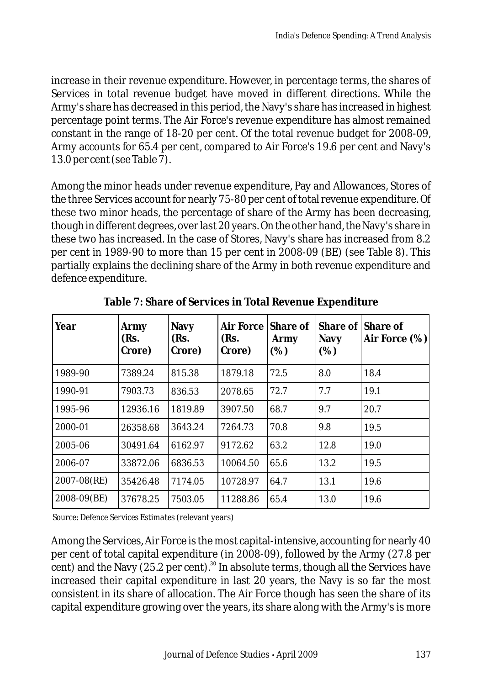increase in their revenue expenditure. However, in percentage terms, the shares of Services in total revenue budget have moved in different directions. While the Army's share has decreased in this period, the Navy's share has increased in highest percentage point terms. The Air Force's revenue expenditure has almost remained constant in the range of 18-20 per cent. Of the total revenue budget for 2008-09, Army accounts for 65.4 per cent, compared to Air Force's 19.6 per cent and Navy's 13.0 per cent (see Table 7).

Among the minor heads under revenue expenditure, Pay and Allowances, Stores of the three Services account for nearly 75-80 per cent of total revenue expenditure. Of these two minor heads, the percentage of share of the Army has been decreasing, though in different degrees, over last 20 years. On the other hand, the Navy's share in these two has increased. In the case of Stores, Navy's share has increased from 8.2 per cent in 1989-90 to more than 15 per cent in 2008-09 (BE) (see Table 8). This partially explains the declining share of the Army in both revenue expenditure and defence expenditure.

| Year        | Army<br>(Rs.<br>Crore) | Navy<br>(Rs.<br>Crore) | Air Force Share of<br>(Rs.<br>Crore) | Army<br>(%) | Navy<br>(%) | Share of Share of<br>Air Force $(\%)$ |
|-------------|------------------------|------------------------|--------------------------------------|-------------|-------------|---------------------------------------|
| 1989-90     | 7389.24                | 815.38                 | 1879.18                              | 72.5        | 8.0         | 18.4                                  |
| 1990-91     | 7903.73                | 836.53                 | 2078.65                              | 72.7        | 7.7         | 19.1                                  |
| 1995-96     | 12936.16               | 1819.89                | 3907.50                              | 68.7        | 9.7         | 20.7                                  |
| 2000-01     | 26358.68               | 3643.24                | 7264.73                              | 70.8        | 9.8         | 19.5                                  |
| 2005-06     | 30491.64               | 6162.97                | 9172.62                              | 63.2        | 12.8        | 19.0                                  |
| 2006-07     | 33872.06               | 6836.53                | 10064.50                             | 65.6        | 13.2        | 19.5                                  |
| 2007-08(RE) | 35426.48               | 7174.05                | 10728.97                             | 64.7        | 13.1        | 19.6                                  |
| 2008-09(BE) | 37678.25               | 7503.05                | 11288.86                             | 65.4        | 13.0        | 19.6                                  |

**Table 7: Share of Services in Total Revenue Expenditure**

*Source*: *Defence Services Estimates* (relevant years)

Among the Services, Air Force is the most capital-intensive, accounting for nearly 40 per cent of total capital expenditure (in 2008-09), followed by the Army (27.8 per  $\frac{1}{2}$  cent) and the Navy (25.2 per cent).<sup>30</sup> In absolute terms, though all the Services have increased their capital expenditure in last 20 years, the Navy is so far the most consistent in its share of allocation. The Air Force though has seen the share of its capital expenditure growing over the years, its share along with the Army's is more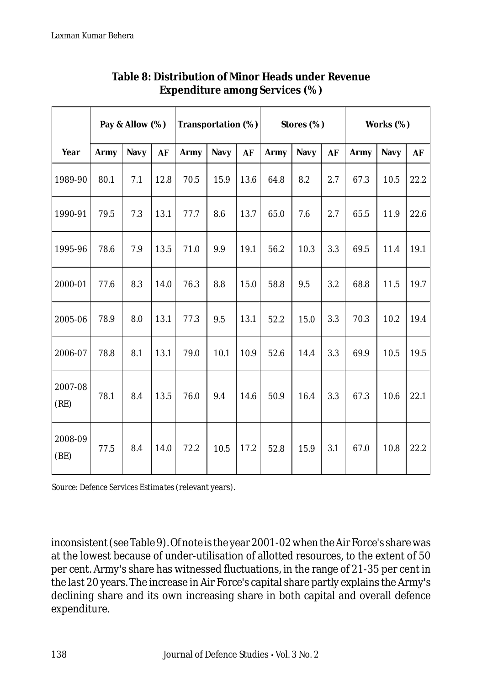|                 |      | Pay & Allow (%) |      | Transportation (%) |      |      | Stores (%) |      |     | Works (%) |      |      |
|-----------------|------|-----------------|------|--------------------|------|------|------------|------|-----|-----------|------|------|
| Year            | Army | Navy            | AF   | Army               | Navy | AF   | Army       | Navy | AF  | Army      | Navy | AF   |
| 1989-90         | 80.1 | 7.1             | 12.8 | 70.5               | 15.9 | 13.6 | 64.8       | 8.2  | 2.7 | 67.3      | 10.5 | 22.2 |
| 1990-91         | 79.5 | 7.3             | 13.1 | 77.7               | 8.6  | 13.7 | 65.0       | 7.6  | 2.7 | 65.5      | 11.9 | 22.6 |
| 1995-96         | 78.6 | 7.9             | 13.5 | 71.0               | 9.9  | 19.1 | 56.2       | 10.3 | 3.3 | 69.5      | 11.4 | 19.1 |
| 2000-01         | 77.6 | 8.3             | 14.0 | 76.3               | 8.8  | 15.0 | 58.8       | 9.5  | 3.2 | 68.8      | 11.5 | 19.7 |
| 2005-06         | 78.9 | 8.0             | 13.1 | 77.3               | 9.5  | 13.1 | 52.2       | 15.0 | 3.3 | 70.3      | 10.2 | 19.4 |
| 2006-07         | 78.8 | 8.1             | 13.1 | 79.0               | 10.1 | 10.9 | 52.6       | 14.4 | 3.3 | 69.9      | 10.5 | 19.5 |
| 2007-08<br>(RE) | 78.1 | 8.4             | 13.5 | 76.0               | 9.4  | 14.6 | 50.9       | 16.4 | 3.3 | 67.3      | 10.6 | 22.1 |
| 2008-09<br>(BE) | 77.5 | 8.4             | 14.0 | 72.2               | 10.5 | 17.2 | 52.8       | 15.9 | 3.1 | 67.0      | 10.8 | 22.2 |

#### **Table 8: Distribution of Minor Heads under Revenue Expenditure among Services (%)**

*Source*: *Defence Services Estimates* (relevant years).

inconsistent (see Table 9). Of note is the year 2001-02 when the Air Force's share was at the lowest because of under-utilisation of allotted resources, to the extent of 50 per cent. Army's share has witnessed fluctuations, in the range of 21-35 per cent in the last 20 years. The increase in Air Force's capital share partly explains the Army's declining share and its own increasing share in both capital and overall defence expenditure.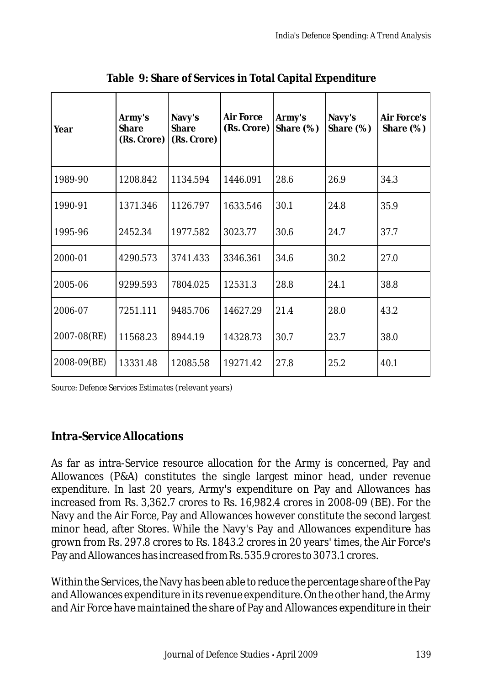| Year             | Army's<br>Share<br>(Rs. Crore) | Navy's<br>Share<br>(Rs. Crore) | Air Force<br>(Rs. Crore) | Army's<br>Share (%) | Navy's<br>Share $(\%)$ | Air Force's<br>Share $(\%)$ |
|------------------|--------------------------------|--------------------------------|--------------------------|---------------------|------------------------|-----------------------------|
| 1989-90          | 1208.842                       | 1134.594                       | 1446.091                 | 28.6                | 26.9                   | 34.3                        |
| 1990-91          | 1371.346                       | 1126.797                       | 1633.546                 | 30.1                | 24.8                   | 35.9                        |
| 1995-96          | 2452.34                        | 1977.582                       | 3023.77                  | 30.6                | 24.7                   | 37.7                        |
| 2000-01          | 4290.573                       | 3741.433                       | 3346.361                 | 34.6                | 30.2                   | 27.0                        |
| 2005-06          | 9299.593                       | 7804.025                       | 12531.3                  | 28.8                | 24.1                   | 38.8                        |
| 2006-07          | 7251.111                       | 9485.706                       | 14627.29                 | 21.4                | 28.0                   | 43.2                        |
| $2007 - 08$ (RE) | 11568.23                       | 8944.19                        | 14328.73                 | 30.7                | 23.7                   | 38.0                        |
| 2008-09(BE)      | 13331.48                       | 12085.58                       | 19271.42                 | 27.8                | 25.2                   | 40.1                        |

**Table 9: Share of Services in Total Capital Expenditure**

*Source*: *Defence Services Estimates* (relevant years)

# **Intra-Service Allocations**

As far as intra-Service resource allocation for the Army is concerned, Pay and Allowances (P&A) constitutes the single largest minor head, under revenue expenditure. In last 20 years, Army's expenditure on Pay and Allowances has increased from Rs. 3,362.7 crores to Rs. 16,982.4 crores in 2008-09 (BE). For the Navy and the Air Force, Pay and Allowances however constitute the second largest minor head, after Stores. While the Navy's Pay and Allowances expenditure has grown from Rs. 297.8 crores to Rs. 1843.2 crores in 20 years' times, the Air Force's Pay and Allowances has increased from Rs. 535.9 crores to 3073.1 crores.

Within the Services, the Navy has been able to reduce the percentage share of the Pay and Allowances expenditure in its revenue expenditure. On the other hand, the Army and Air Force have maintained the share of Pay and Allowances expenditure in their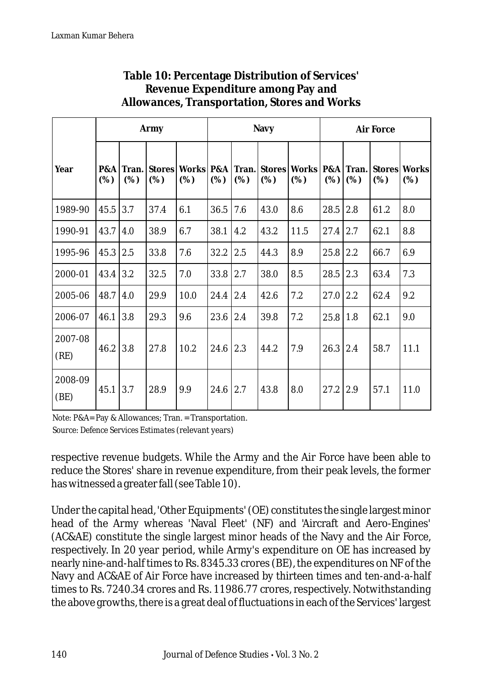|                 |            |              | Army                 |      | Navy           |     |      |                                         | Air Force |              |      |                     |
|-----------------|------------|--------------|----------------------|------|----------------|-----|------|-----------------------------------------|-----------|--------------|------|---------------------|
| Year            | P&A<br>(%) | Tran.<br>(%) | <b>Stores</b><br>(%) | (%)  | (%)            | (%) | (%)  | Works P&A Tran. Stores Works P&A<br>(%) | (%)       | Tran.<br>(%) | (%)  | Stores Works<br>(%) |
| 1989-90         | 45.5       | 3.7          | 37.4                 | 6.1  | 36.5           | 7.6 | 43.0 | 8.6                                     | 28.5      | 2.8          | 61.2 | 8.0                 |
| 1990-91         | 43.7       | 4.0          | 38.9                 | 6.7  | 38.1           | 4.2 | 43.2 | 11.5                                    | 27.4      | 2.7          | 62.1 | 8.8                 |
| 1995-96         | 45.3       | 2.5          | 33.8                 | 7.6  | 32.2           | 2.5 | 44.3 | 8.9                                     | 25.8      | 2.2          | 66.7 | 6.9                 |
| 2000-01         | 43.4       | 3.2          | 32.5                 | 7.0  | 33.8           | 2.7 | 38.0 | 8.5                                     | 28.5      | 2.3          | 63.4 | 7.3                 |
| 2005-06         | 48.7       | 4.0          | 29.9                 | 10.0 | $24.4$   $2.4$ |     | 42.6 | 7.2                                     | 27.0      | 2.2          | 62.4 | 9.2                 |
| 2006-07         | 46.1       | 3.8          | 29.3                 | 9.6  | 23.6           | 2.4 | 39.8 | 7.2                                     | 25.8      | 1.8          | 62.1 | 9.0                 |
| 2007-08<br>(RE) | 46.2       | 3.8          | 27.8                 | 10.2 | $24.6$ 2.3     |     | 44.2 | 7.9                                     | 26.3      | 2.4          | 58.7 | 11.1                |
| 2008-09<br>(BE) | 45.1       | 3.7          | 28.9                 | 9.9  | 24.6           | 2.7 | 43.8 | 8.0                                     | 27.2      | 2.9          | 57.1 | 11.0                |

#### **Table 10: Percentage Distribution of Services' Revenue Expenditure among Pay and Allowances, Transportation, Stores and Works**

*Note*: P&A= Pay & Allowances; Tran. = Transportation. *Source*: *Defence Services Estimates* (relevant years)

respective revenue budgets. While the Army and the Air Force have been able to reduce the Stores' share in revenue expenditure, from their peak levels, the former has witnessed a greater fall (see Table 10).

Under the capital head, 'Other Equipments' (OE) constitutes the single largest minor head of the Army whereas 'Naval Fleet' (NF) and 'Aircraft and Aero-Engines' (AC&AE) constitute the single largest minor heads of the Navy and the Air Force, respectively. In 20 year period, while Army's expenditure on OE has increased by nearly nine-and-half times to Rs. 8345.33 crores (BE), the expenditures on NF of the Navy and AC&AE of Air Force have increased by thirteen times and ten-and-a-half times to Rs. 7240.34 crores and Rs. 11986.77 crores, respectively. Notwithstanding the above growths, there is a great deal of fluctuations in each of the Services' largest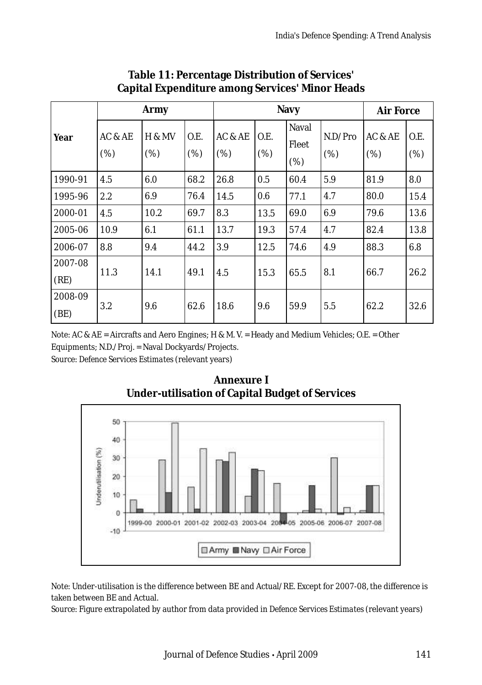|                 |                | Army           |             | Navy           | Air Force   |                              |                |                |             |
|-----------------|----------------|----------------|-------------|----------------|-------------|------------------------------|----------------|----------------|-------------|
| Year            | AC & AE<br>(%) | H & MV<br>(% ) | O.E.<br>(%) | AC & AE<br>(%) | O.E.<br>(%) | <b>Naval</b><br>Fleet<br>(%) | N.D/Pro<br>(%) | AC & AE<br>(%) | O.E.<br>(%) |
| 1990-91         | 4.5            | 6.0            | 68.2        | 26.8           | 0.5         | 60.4                         | 5.9            | 81.9           | 8.0         |
| 1995-96         | 2.2            | 6.9            | 76.4        | 14.5           | 0.6         | 77.1                         | 4.7            | 80.0           | 15.4        |
| 2000-01         | 4.5            | 10.2           | 69.7        | 8.3            | 13.5        | 69.0                         | 6.9            | 79.6           | 13.6        |
| 2005-06         | 10.9           | 6.1            | 61.1        | 13.7           | 19.3        | 57.4                         | 4.7            | 82.4           | 13.8        |
| 2006-07         | 8.8            | 9.4            | 44.2        | 3.9            | 12.5        | 74.6                         | 4.9            | 88.3           | 6.8         |
| 2007-08<br>(RE) | 11.3           | 14.1           | 49.1        | 4.5            | 15.3        | 65.5                         | 8.1            | 66.7           | 26.2        |
| 2008-09<br>(BE) | 3.2            | 9.6            | 62.6        | 18.6           | 9.6         | 59.9                         | 5.5            | 62.2           | 32.6        |

#### **Table 11: Percentage Distribution of Services' Capital Expenditure among Services' Minor Heads**

*Note*: AC & AE = Aircrafts and Aero Engines; H & M. V. = Heady and Medium Vehicles; O.E. = Other Equipments; N.D./Proj. = Naval Dockyards/Projects. *Source*: *Defence Services Estimates* (relevant years)





*Note*: Under-utilisation is the difference between BE and Actual/RE. Except for 2007-08, the difference is taken between BE and Actual.

*Source*: Figure extrapolated by author from data provided in *Defence Services Estimates* (relevant years)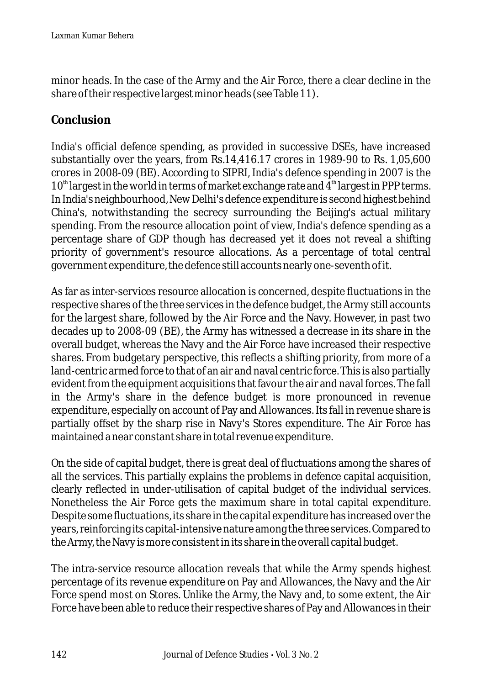minor heads. In the case of the Army and the Air Force, there a clear decline in the share of their respective largest minor heads (see Table 11).

# **Conclusion**

India's official defence spending, as provided in successive DSEs, have increased substantially over the years, from Rs.14,416.17 crores in 1989-90 to Rs. 1,05,600 crores in 2008-09 (BE). According to SIPRI, India's defence spending in 2007 is the  $10<sup>th</sup>$  largest in the world in terms of market exchange rate and 4<sup>th</sup> largest in PPP terms. In India's neighbourhood, New Delhi's defence expenditure is second highest behind China's, notwithstanding the secrecy surrounding the Beijing's actual military spending. From the resource allocation point of view, India's defence spending as a percentage share of GDP though has decreased yet it does not reveal a shifting priority of government's resource allocations. As a percentage of total central government expenditure, the defence still accounts nearly one-seventh of it.

As far as inter-services resource allocation is concerned, despite fluctuations in the respective shares of the three services in the defence budget, the Army still accounts for the largest share, followed by the Air Force and the Navy. However, in past two decades up to 2008-09 (BE), the Army has witnessed a decrease in its share in the overall budget, whereas the Navy and the Air Force have increased their respective shares. From budgetary perspective, this reflects a shifting priority, from more of a land-centric armed force to that of an air and naval centric force. This is also partially evident from the equipment acquisitions that favour the air and naval forces. The fall in the Army's share in the defence budget is more pronounced in revenue expenditure, especially on account of Pay and Allowances. Its fall in revenue share is partially offset by the sharp rise in Navy's Stores expenditure. The Air Force has maintained a near constant share in total revenue expenditure.

On the side of capital budget, there is great deal of fluctuations among the shares of all the services. This partially explains the problems in defence capital acquisition, clearly reflected in under-utilisation of capital budget of the individual services. Nonetheless the Air Force gets the maximum share in total capital expenditure. Despite some fluctuations, its share in the capital expenditure has increased over the years, reinforcing its capital-intensive nature among the three services. Compared to the Army, the Navy is more consistent in its share in the overall capital budget.

The intra-service resource allocation reveals that while the Army spends highest percentage of its revenue expenditure on Pay and Allowances, the Navy and the Air Force spend most on Stores. Unlike the Army, the Navy and, to some extent, the Air Force have been able to reduce their respective shares of Pay and Allowances in their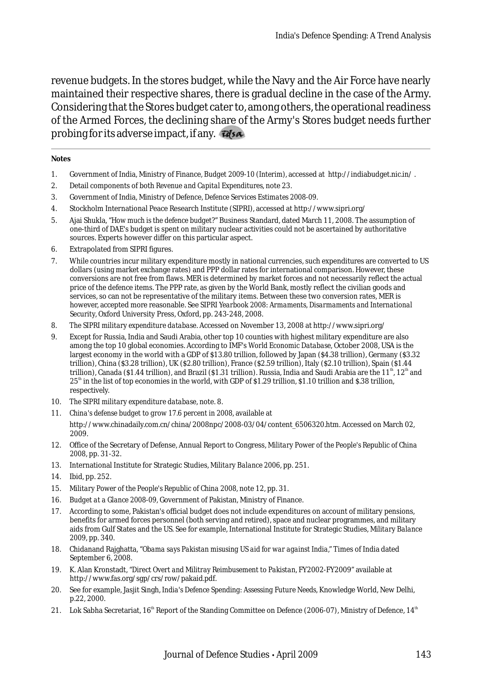revenue budgets. In the stores budget, while the Navy and the Air Force have nearly maintained their respective shares, there is gradual decline in the case of the Army. Considering that the Stores budget cater to, among others, the operational readiness of the Armed Forces, the declining share of the Army's Stores budget needs further probing for its adverse impact, if any.

#### **Notes**

- 1. Government of India, Ministry of Finance, *Budget 2009-10 (Interim),* accessed at http://indiabudget.nic.in/ .
- 2. Detail components of both *Revenue and Capital Expenditures*, note 23.
- 3. Government of India, Ministry of Defence, *Defence Services Estimates 2008-09*.
- 4. Stockholm International Peace Research Institute (SIPRI), accessed at http://www.sipri.org/
- 5. Ajai Shukla, "*How much is the defence budget?*" Business Standard, dated March 11, 2008. The assumption of one-third of DAE's budget is spent on military nuclear activities could not be ascertained by authoritative sources. Experts however differ on this particular aspect.
- 6. Extrapolated from SIPRI figures.
- 7. While countries incur military expenditure mostly in national currencies, such expenditures are converted to US dollars (using market exchange rates) and PPP dollar rates for international comparison. However, these conversions are not free from flaws. MER is determined by market forces and not necessarily reflect the actual price of the defence items. The PPP rate, as given by the World Bank, mostly reflect the civilian goods and services, so can not be representative of the military items. Between these two conversion rates, MER is however, accepted more reasonable. See *SIPRI Yearbook 2008*: *Armaments, Disarmaments and International Security,* Oxford University Press, Oxford, pp. 243-248, 2008.
- 8. *The SIPRI military expenditure database*. Accessed on November 13, 2008 at http://www.sipri.org/
- 9. Except for Russia, India and Saudi Arabia, other top 10 counties with highest military expenditure are also among the top 10 global economies. According to IMF's *World Economic Database,* October 2008, USA is the largest economy in the world with a GDP of \$13.80 trillion, followed by Japan (\$4.38 trillion), Germany (\$3.32 trillion), China (\$3.28 trillion), UK (\$2.80 trillion), France (\$2.59 trillion), Italy (\$2.10 trillion), Spain (\$1.44 trillion), Canada (\$1.44 trillion), and Brazil (\$1.31 trillion). Russia, India and Saudi Arabia are the  $11<sup>th</sup>$ ,  $12<sup>th</sup>$  and  $25<sup>th</sup>$  in the list of top economies in the world, with GDP of \$1.29 trillion, \$1.10 trillion and \$.38 trillion, respectively.
- 10. *The SIPRI military expenditure database*, note. 8.
- 11. *China's defense budget to grow 17.6 percent in 2008*, available at http://www.chinadaily.com.cn/china/2008npc/2008-03/04/content\_6506320.htm. Accessed on March 02, 2009.
- 12. Office of the Secretary of Defense, Annual Report to Congress, *Military Power of the People's Republic of China 2008*, pp. 31-32.
- 13. International Institute for Strategic Studies, *Military Balance 2006*, pp. 251.
- 14. Ibid, pp. 252.
- 15. *Military Power of the People's Republic of China 2008*, note 12, pp. 31.
- 16. *Budget at a Glance 2008-09,* Government of Pakistan, Ministry of Finance.
- 17. According to some, Pakistan's official budget does not include expenditures on account of military pensions, benefits for armed forces personnel (both serving and retired), space and nuclear programmes, and military aids from Gulf States and the US. See for example, International Institute for Strategic Studies, *Military Balance 2009*, pp. 340.
- 18. Chidanand Rajghatta, "*Obama says Pakistan misusing US aid for war against India*," Times of India dated September 6, 2008.
- 19. K. Alan Kronstadt, *"Direct Overt and Militray Reimbusement to Pakistan*, FY2002-FY2009" available at http://www.fas.org/sgp/crs/row/pakaid.pdf.
- 20. See for example, Jasjit Singh, *India's Defence Spending: Assessing Future Needs*, Knowledge World, New Delhi, p.22, 2000.
- 21. Lok Sabha Secretariat, 16<sup>th</sup> Report of the Standing Committee on Defence (2006-07), Ministry of Defence, 14<sup>th</sup>